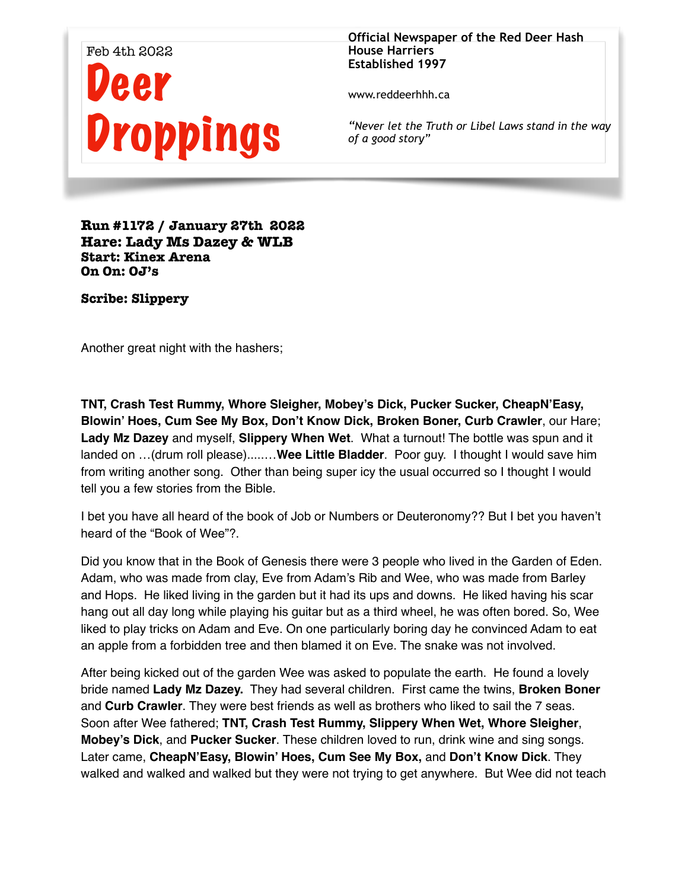

**Official Newspaper of the Red Deer Hash House Harriers Established 1997** 

www.reddeerhhh.ca

*"Never let the Truth or Libel Laws stand in the way of a good story"*

**Run #1172 / January 27th 2022 Hare: Lady Ms Dazey & WLB Start: Kinex Arena On On: OJ's**

 **Scribe: Slippery** 

Another great night with the hashers;

**TNT, Crash Test Rummy, Whore Sleigher, Mobey's Dick, Pucker Sucker, CheapN'Easy, Blowin' Hoes, Cum See My Box, Don't Know Dick, Broken Boner, Curb Crawler**, our Hare; **Lady Mz Dazey** and myself, **Slippery When Wet**. What a turnout! The bottle was spun and it landed on …(drum roll please).....…**Wee Little Bladder**. Poor guy. I thought I would save him from writing another song. Other than being super icy the usual occurred so I thought I would tell you a few stories from the Bible.

I bet you have all heard of the book of Job or Numbers or Deuteronomy?? But I bet you haven't heard of the "Book of Wee"?.

Did you know that in the Book of Genesis there were 3 people who lived in the Garden of Eden. Adam, who was made from clay, Eve from Adam's Rib and Wee, who was made from Barley and Hops. He liked living in the garden but it had its ups and downs. He liked having his scar hang out all day long while playing his guitar but as a third wheel, he was often bored. So, Wee liked to play tricks on Adam and Eve. On one particularly boring day he convinced Adam to eat an apple from a forbidden tree and then blamed it on Eve. The snake was not involved.

After being kicked out of the garden Wee was asked to populate the earth. He found a lovely bride named **Lady Mz Dazey.** They had several children. First came the twins, **Broken Boner**  and **Curb Crawler**. They were best friends as well as brothers who liked to sail the 7 seas. Soon after Wee fathered; **TNT, Crash Test Rummy, Slippery When Wet, Whore Sleigher**, **Mobey's Dick**, and **Pucker Sucker**. These children loved to run, drink wine and sing songs. Later came, **CheapN'Easy, Blowin' Hoes, Cum See My Box,** and **Don't Know Dick**. They walked and walked and walked but they were not trying to get anywhere. But Wee did not teach